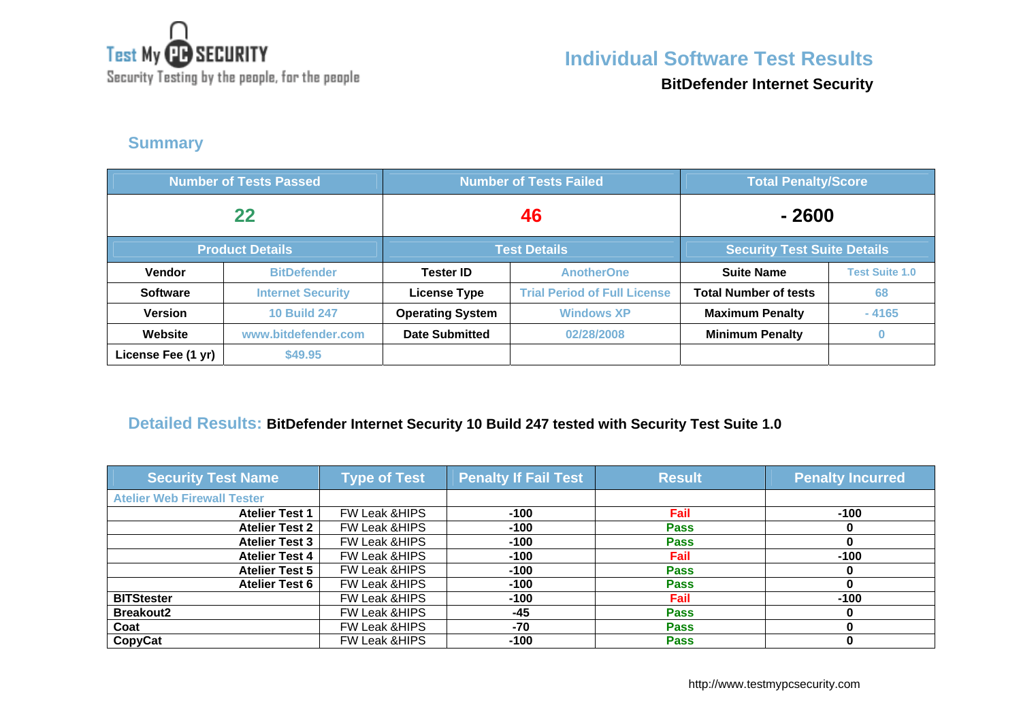

**Individual Software Test Results**

Security Testing by the people, for the people

**BitDefender Internet Security**

### **Summary**

| <b>Number of Tests Passed</b> |                          |                         | <b>Number of Tests Failed</b>       | <b>Total Penalty/Score</b>         |                       |
|-------------------------------|--------------------------|-------------------------|-------------------------------------|------------------------------------|-----------------------|
| 22                            |                          | 46                      |                                     | $-2600$                            |                       |
|                               | <b>Product Details</b>   | <b>Test Details</b>     |                                     | <b>Security Test Suite Details</b> |                       |
| <b>Vendor</b>                 | <b>BitDefender</b>       | <b>Tester ID</b>        | <b>AnotherOne</b>                   | <b>Suite Name</b>                  | <b>Test Suite 1.0</b> |
| <b>Software</b>               | <b>Internet Security</b> | <b>License Type</b>     | <b>Trial Period of Full License</b> | <b>Total Number of tests</b>       | 68                    |
| <b>Version</b>                | <b>10 Build 247</b>      | <b>Operating System</b> | <b>Windows XP</b>                   | <b>Maximum Penalty</b>             | $-4165$               |
| Website                       | www.bitdefender.com      | <b>Date Submitted</b>   | 02/28/2008                          | <b>Minimum Penalty</b>             |                       |
| License Fee (1 yr)            | \$49.95                  |                         |                                     |                                    |                       |

#### **Detailed Results: BitDefender Internet Security 10 Build 247 tested with Security Test Suite 1.0**

| <b>Security Test Name</b>          | <b>Type of Test</b>      | <b>Penalty If Fail Test</b> | <b>Result</b> | <b>Penalty Incurred</b> |
|------------------------------------|--------------------------|-----------------------------|---------------|-------------------------|
| <b>Atelier Web Firewall Tester</b> |                          |                             |               |                         |
| <b>Atelier Test 1</b>              | FW Leak & HIPS           | $-100$                      | Fail          | $-100$                  |
| <b>Atelier Test 2</b>              | <b>FW Leak &amp;HIPS</b> | $-100$                      | <b>Pass</b>   |                         |
| <b>Atelier Test 3</b>              | <b>FW Leak &amp;HIPS</b> | $-100$                      | <b>Pass</b>   |                         |
| <b>Atelier Test 4</b>              | <b>FW Leak &amp;HIPS</b> | $-100$                      | Fail          | $-100$                  |
| <b>Atelier Test 5</b>              | FW Leak & HIPS           | $-100$                      | <b>Pass</b>   |                         |
| <b>Atelier Test 6</b>              | FW Leak & HIPS           | $-100$                      | <b>Pass</b>   |                         |
| <b>BITStester</b>                  | <b>FW Leak &amp;HIPS</b> | $-100$                      | Fail          | $-100$                  |
| <b>Breakout2</b>                   | <b>FW Leak &amp;HIPS</b> | $-45$                       | <b>Pass</b>   |                         |
| Coat                               | <b>FW Leak &amp;HIPS</b> | $-70$                       | <b>Pass</b>   |                         |
| CopyCat                            | <b>FW Leak &amp;HIPS</b> | $-100$                      | <b>Pass</b>   |                         |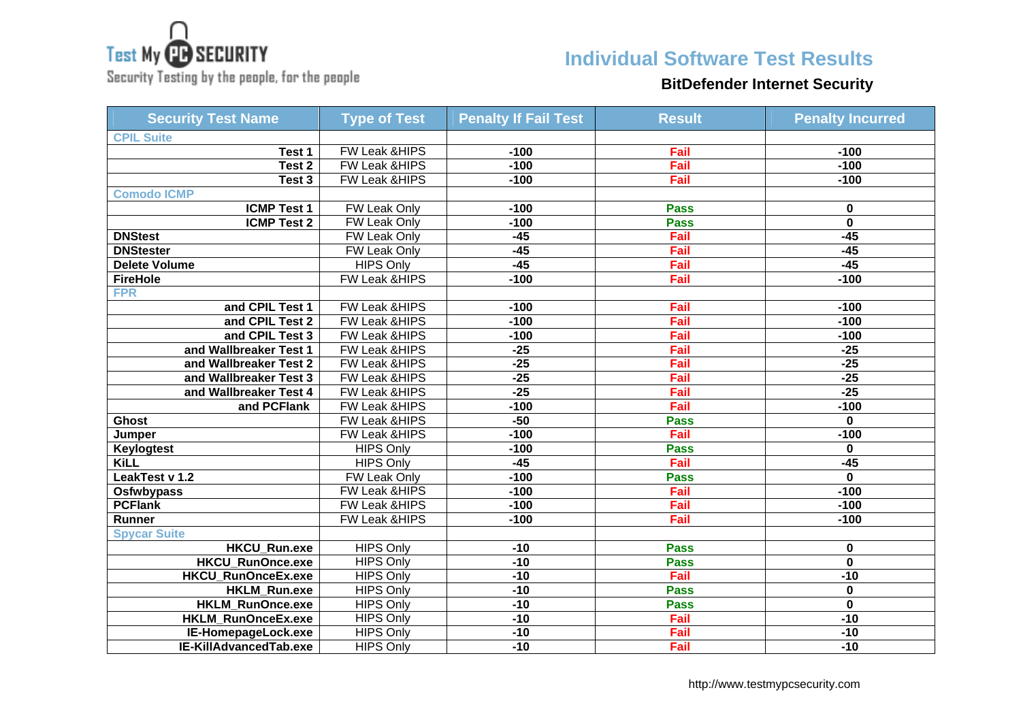

Security Testing by the people, for the people

## **Individual Software Test Results**

### **BitDefender Internet Security**

| <b>Security Test Name</b> | <b>Type of Test</b>      | <b>Penalty If Fail Test</b> | <b>Result</b> | <b>Penalty Incurred</b> |
|---------------------------|--------------------------|-----------------------------|---------------|-------------------------|
| <b>CPIL Suite</b>         |                          |                             |               |                         |
| Test 1                    | <b>FW Leak &amp;HIPS</b> | $-100$                      | Fail          | $-100$                  |
| Test 2                    | FW Leak & HIPS           | $-100$                      | Fail          | $-100$                  |
| Test 3                    | FW Leak & HIPS           | $-100$                      | Fail          | $-100$                  |
| <b>Comodo ICMP</b>        |                          |                             |               |                         |
| <b>ICMP Test 1</b>        | <b>FW Leak Only</b>      | $-100$                      | <b>Pass</b>   | 0                       |
| <b>ICMP Test 2</b>        | FW Leak Only             | $-100$                      | <b>Pass</b>   | $\mathbf 0$             |
| <b>DNStest</b>            | <b>FW Leak Only</b>      | $-45$                       | Fail          | $-45$                   |
| <b>DNStester</b>          | FW Leak Only             | $-45$                       | Fail          | $-45$                   |
| <b>Delete Volume</b>      | <b>HIPS Only</b>         | $-45$                       | Fail          | $-45$                   |
| <b>FireHole</b>           | FW Leak &HIPS            | $-100$                      | Fail          | $-100$                  |
| <b>FPR</b>                |                          |                             |               |                         |
| and CPIL Test 1           | FW Leak & HIPS           | $-100$                      | Fail          | $-100$                  |
| and CPIL Test 2           | FW Leak & HIPS           | $-100$                      | Fail          | $-100$                  |
| and CPIL Test 3           | FW Leak & HIPS           | $-100$                      | Fail          | $-100$                  |
| and Wallbreaker Test 1    | FW Leak & HIPS           | $-25$                       | Fail          | $-25$                   |
| and Wallbreaker Test 2    | <b>FW Leak &amp;HIPS</b> | $-25$                       | Fail          | $-25$                   |
| and Wallbreaker Test 3    | FW Leak &HIPS            | $-25$                       | Fail          | $-25$                   |
| and Wallbreaker Test 4    | FW Leak & HIPS           | $-25$                       | Fail          | $-25$                   |
| and PCFlank               | FW Leak &HIPS            | $-100$                      | Fail          | $-100$                  |
| <b>Ghost</b>              | FW Leak &HIPS            | $-50$                       | <b>Pass</b>   | $\mathbf{0}$            |
| Jumper                    | FW Leak &HIPS            | $-100$                      | Fail          | $-100$                  |
| <b>Keylogtest</b>         | <b>HIPS Only</b>         | $-100$                      | <b>Pass</b>   | $\mathbf 0$             |
| <b>KiLL</b>               | <b>HIPS Only</b>         | $-45$                       | Fail          | $-45$                   |
| LeakTest v 1.2            | FW Leak Only             | $-100$                      | <b>Pass</b>   | $\mathbf{0}$            |
| Osfwbypass                | <b>FW Leak &amp;HIPS</b> | $-100$                      | Fail          | $-100$                  |
| <b>PCFlank</b>            | <b>FW Leak &amp;HIPS</b> | $-100$                      | Fail          | $-100$                  |
| Runner                    | FW Leak & HIPS           | $-100$                      | Fail          | $-100$                  |
| <b>Spycar Suite</b>       |                          |                             |               |                         |
| <b>HKCU Run.exe</b>       | <b>HIPS Only</b>         | $-10$                       | <b>Pass</b>   | 0                       |
| <b>HKCU RunOnce.exe</b>   | <b>HIPS Only</b>         | $-10$                       | <b>Pass</b>   | $\mathbf 0$             |
| HKCU_RunOnceEx.exe        | <b>HIPS Only</b>         | $-10$                       | Fail          | $-10$                   |
| HKLM_Run.exe              | <b>HIPS Only</b>         | $-10$                       | <b>Pass</b>   | 0                       |
| <b>HKLM RunOnce.exe</b>   | <b>HIPS Only</b>         | $-10$                       | <b>Pass</b>   | $\overline{\mathbf{0}}$ |
| HKLM_RunOnceEx.exe        | <b>HIPS Only</b>         | $-10$                       | Fail          | $-10$                   |
| IE-HomepageLock.exe       | <b>HIPS Only</b>         | $-10$                       | Fail          | $-10$                   |
| IE-KillAdvancedTab.exe    | <b>HIPS Only</b>         | $-10$                       | Fail          | $-10$                   |